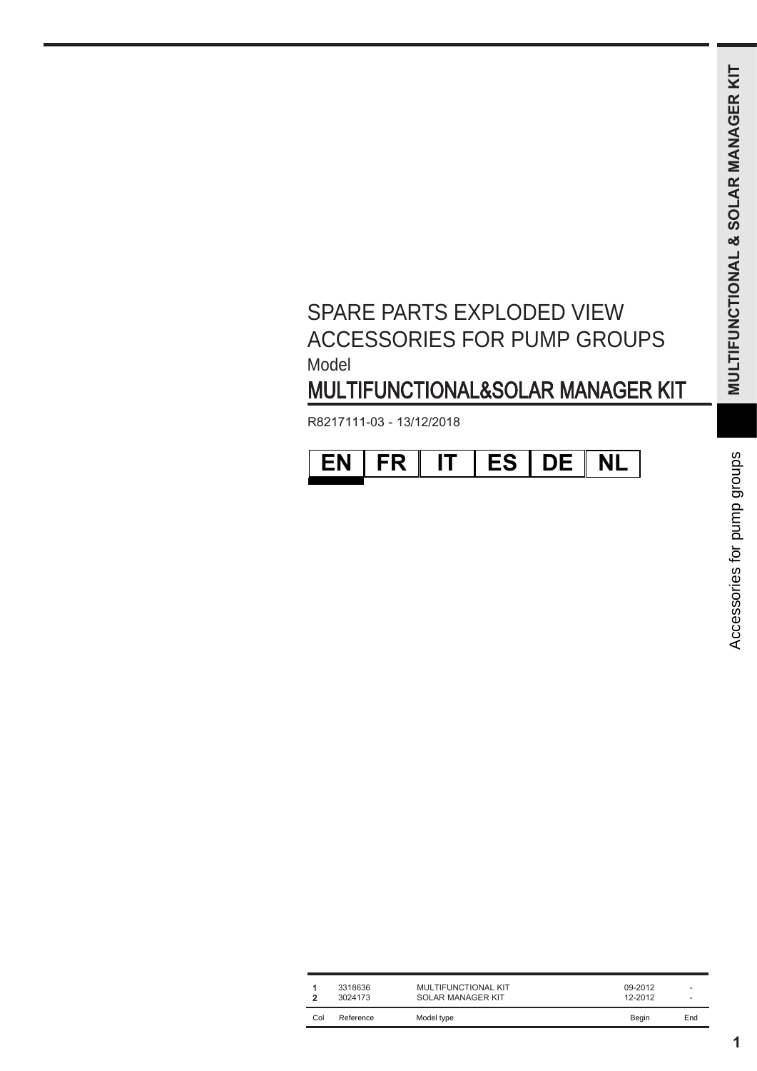## SPARE PARTS EXPLODED VIEW ACCESSORIES FOR PUMP GROUPS Model **Model** MULTIFUNKTIONS KIT<br>MULTIFUNKTIONS (STATE OF PUMP GROUPS)<br>MINIMISMORIAL SOLAR MANAGER KIT<br>IT ES DE NL<br>SOLAR MANAGER SOLAR MANAGER KIT<br>SOLAR MANAGER SOLAR MANAGER SURFAIL DES SOLARS DES SURFAILS (STATE OF PUBLIC DES SURFAILS KITS EXPLODED VIEW<br>RIES FOR PUMP GROUPS<br>TIONAL&SOLAR MANAGER KIT<br>TIT | ES | DE | NL<br>WALTIFUNCTIONAL KIT<br>SULTIFUNCTIONAL KIT SPARE PARTS EXPLODED VIEW<br>
ACCESSORIES FOR PUMP GROUPS<br>
MOLITIFUNCTIONAL&SOLAR MANAGER KIT<br>
MULTIFUNCTIONAL&SOLAR MANAGER KIT<br>
R8217111-03 - 13/12/2018<br> **EN FR TT ES DE NL**<br>
CONTRACTORE SERVICES<br>
CONES CONTRACTORES<br>
CONTRA SPARE PARTS EXPLODED VIEW<br>ACCESSORIES FOR PUMP GROUPS<br>MULTIFUNCTIONAL&SOLAR MANAGER KIT<br>MULTIFUNCTIONAL&SOLAR MANAGER KIT<br>R8217111-03 - 13/12/2018<br>**EN FR TT ES DE NL**<br>Se a Francisco de la proposition<br>Best de la proposition

| MULTIFUNCTIONAL&SOLAR MANAGER KIT |           |    |           |           |           |                                |
|-----------------------------------|-----------|----|-----------|-----------|-----------|--------------------------------|
| R8217111-03 - 13/12/2018          |           |    |           |           |           |                                |
| <b>EN</b>                         | <b>FR</b> | IT | <b>ES</b> | <b>DE</b> | <b>NL</b> | for pump groups<br>Accessories |

|               | Model<br>MULTIFUNCTIONAL&SOLAR MANAGER KIT |                                                        |                             |                                                   |  |  |  |
|---------------|--------------------------------------------|--------------------------------------------------------|-----------------------------|---------------------------------------------------|--|--|--|
|               | R8217111-03 - 13/12/2018                   |                                                        |                             |                                                   |  |  |  |
|               | <b>FR</b><br><b>EN</b>                     | <b>ES</b><br>IT<br>DE                                  | <b>NL</b>                   |                                                   |  |  |  |
|               |                                            |                                                        |                             |                                                   |  |  |  |
|               |                                            |                                                        |                             |                                                   |  |  |  |
|               |                                            |                                                        |                             |                                                   |  |  |  |
|               |                                            |                                                        |                             |                                                   |  |  |  |
|               |                                            |                                                        |                             |                                                   |  |  |  |
|               |                                            |                                                        |                             |                                                   |  |  |  |
|               |                                            |                                                        |                             |                                                   |  |  |  |
|               |                                            |                                                        |                             |                                                   |  |  |  |
|               |                                            |                                                        |                             |                                                   |  |  |  |
|               |                                            |                                                        |                             |                                                   |  |  |  |
|               |                                            |                                                        |                             |                                                   |  |  |  |
|               |                                            |                                                        |                             |                                                   |  |  |  |
|               |                                            |                                                        |                             |                                                   |  |  |  |
|               |                                            |                                                        |                             |                                                   |  |  |  |
| 1<br>2<br>Col | 3318636<br>3024173<br>Reference            | MULTIFUNCTIONAL KIT<br>SOLAR MANAGER KIT<br>Model type | 09-2012<br>12-2012<br>Begin | $\overline{\phantom{a}}$<br>$\overline{a}$<br>End |  |  |  |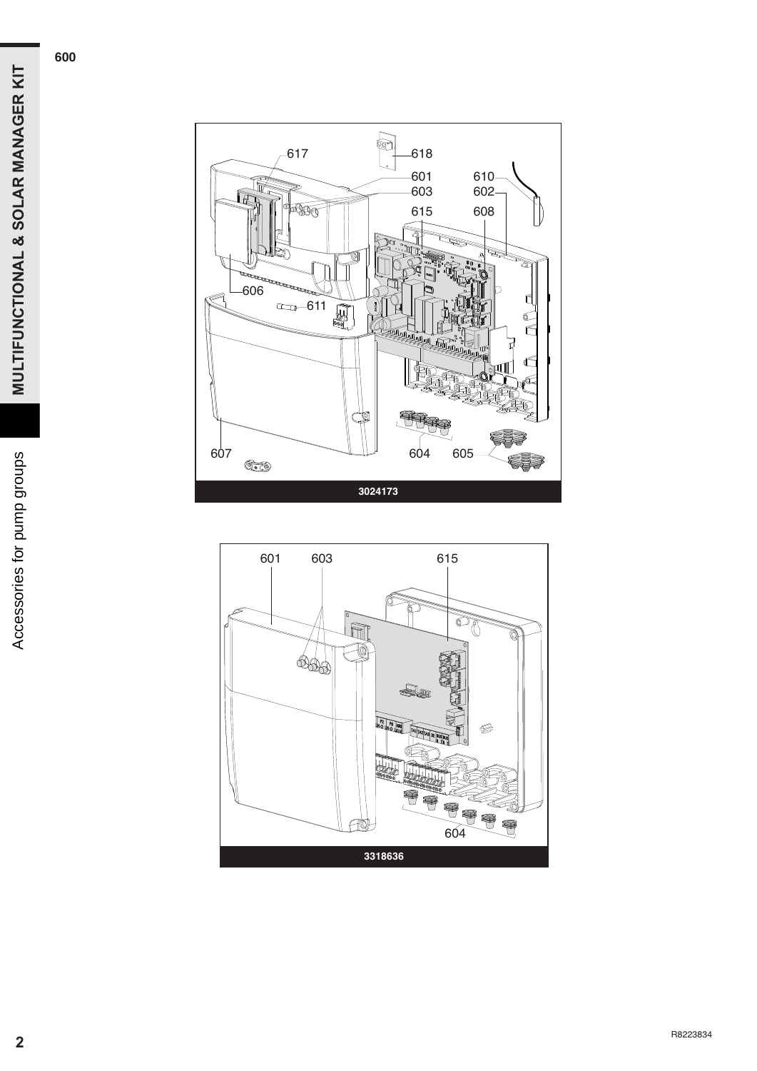

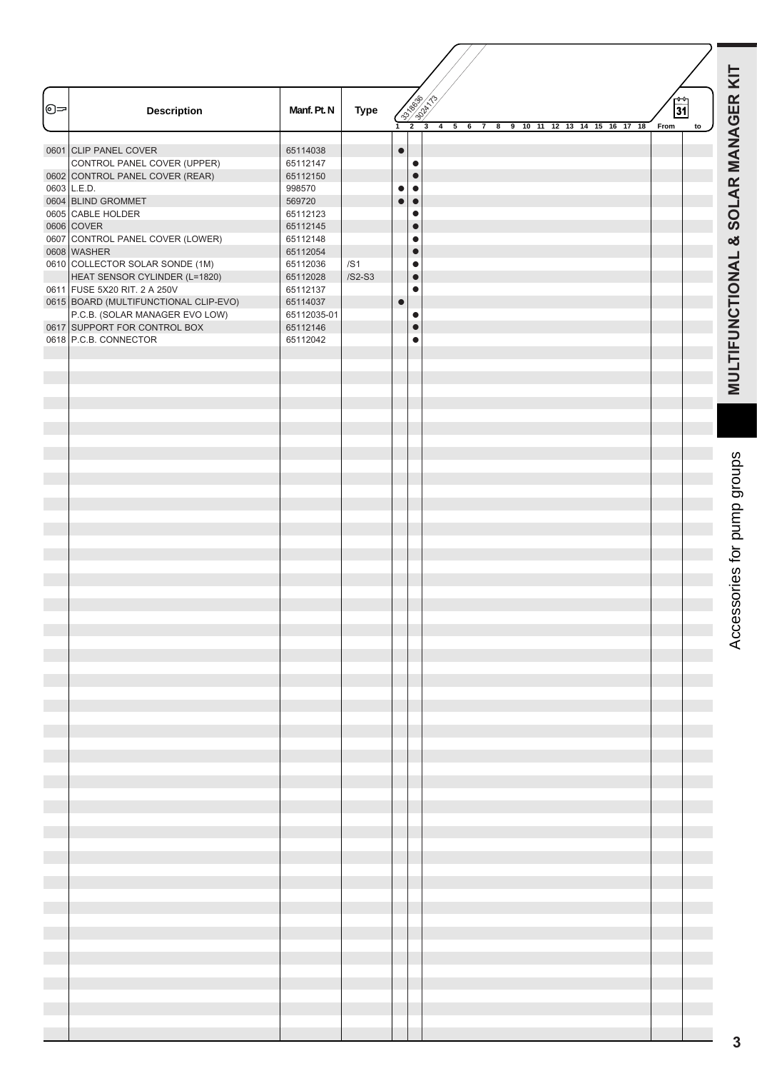| <b>037-3021-1322</b><br>ᡐ |                                                |                      |             |           | MULTIFUNCTIONAL & SOLAR MANAGER KIT |                                                                    |                               |                             |
|---------------------------|------------------------------------------------|----------------------|-------------|-----------|-------------------------------------|--------------------------------------------------------------------|-------------------------------|-----------------------------|
|                           | <b>Description</b>                             | Manf. Pt. N          | <b>Type</b> |           |                                     | 4 <sub>5</sub><br>6 <sub>7</sub><br>8 9 10 11 12 13 14 15 16 17 18 | $\overline{31}$<br>From<br>to |                             |
|                           | 0601 CLIP PANEL COVER                          | 65114038             |             | $\bullet$ |                                     |                                                                    |                               |                             |
|                           | CONTROL PANEL COVER (UPPER)                    | 65112147             |             |           | $\bullet$                           |                                                                    |                               |                             |
|                           | 0602 CONTROL PANEL COVER (REAR)                | 65112150             |             |           | $\bullet$                           |                                                                    |                               |                             |
|                           | 0603 L.E.D.                                    | 998570               |             | $\bullet$ | $\bullet$                           |                                                                    |                               |                             |
|                           | 0604 BLIND GROMMET                             | 569720               |             | $\bullet$ | $\bullet$                           |                                                                    |                               |                             |
|                           | 0605 CABLE HOLDER                              | 65112123             |             |           | $\bullet$<br>$\bullet$              |                                                                    |                               |                             |
|                           | 0606 COVER<br>0607 CONTROL PANEL COVER (LOWER) | 65112145<br>65112148 |             |           | $\bullet$                           |                                                                    |                               |                             |
|                           | 0608 WASHER                                    | 65112054             |             |           | $\bullet$                           |                                                                    |                               |                             |
|                           | 0610 COLLECTOR SOLAR SONDE (1M)                | 65112036             | /SI         |           | $\bullet$                           |                                                                    |                               |                             |
|                           | HEAT SENSOR CYLINDER (L=1820)                  | 65112028             | $/S2-S3$    |           | $\bullet$                           |                                                                    |                               |                             |
|                           | 0611 FUSE 5X20 RIT. 2 A 250V                   | 65112137             |             |           | $\bullet$                           |                                                                    |                               |                             |
|                           | 0615 BOARD (MULTIFUNCTIONAL CLIP-EVO)          | 65114037             |             | $\bullet$ |                                     |                                                                    |                               |                             |
|                           | P.C.B. (SOLAR MANAGER EVO LOW)                 | 65112035-01          |             |           | $\bullet$                           |                                                                    |                               |                             |
|                           | 0617 SUPPORT FOR CONTROL BOX                   | 65112146             |             |           | $\bullet$                           |                                                                    |                               |                             |
|                           | 0618 P.C.B. CONNECTOR                          | 65112042             |             |           | $\bullet$                           |                                                                    |                               |                             |
|                           |                                                |                      |             |           |                                     |                                                                    |                               |                             |
|                           |                                                |                      |             |           |                                     |                                                                    |                               |                             |
|                           |                                                |                      |             |           |                                     |                                                                    |                               |                             |
|                           |                                                |                      |             |           |                                     |                                                                    |                               |                             |
|                           |                                                |                      |             |           |                                     |                                                                    |                               |                             |
|                           |                                                |                      |             |           |                                     |                                                                    |                               |                             |
|                           |                                                |                      |             |           |                                     |                                                                    |                               |                             |
|                           |                                                |                      |             |           |                                     |                                                                    |                               |                             |
|                           |                                                |                      |             |           |                                     |                                                                    |                               | Accessories for pump groups |
|                           |                                                |                      |             |           |                                     |                                                                    |                               |                             |
|                           |                                                |                      |             |           |                                     |                                                                    |                               |                             |
|                           |                                                |                      |             |           |                                     |                                                                    |                               |                             |
|                           |                                                |                      |             |           |                                     |                                                                    |                               |                             |
|                           |                                                |                      |             |           |                                     |                                                                    |                               |                             |
|                           |                                                |                      |             |           |                                     |                                                                    |                               |                             |
|                           |                                                |                      |             |           |                                     |                                                                    |                               |                             |
|                           |                                                |                      |             |           |                                     |                                                                    |                               |                             |
|                           |                                                |                      |             |           |                                     |                                                                    |                               |                             |
|                           |                                                |                      |             |           |                                     |                                                                    |                               |                             |
|                           |                                                |                      |             |           |                                     |                                                                    |                               |                             |
|                           |                                                |                      |             |           |                                     |                                                                    |                               |                             |
|                           |                                                |                      |             |           |                                     |                                                                    |                               |                             |
|                           |                                                |                      |             |           |                                     |                                                                    |                               |                             |
|                           |                                                |                      |             |           |                                     |                                                                    |                               |                             |
|                           |                                                |                      |             |           |                                     |                                                                    |                               |                             |
|                           |                                                |                      |             |           |                                     |                                                                    |                               |                             |
|                           |                                                |                      |             |           |                                     |                                                                    |                               |                             |
|                           |                                                |                      |             |           |                                     |                                                                    |                               |                             |
|                           |                                                |                      |             |           |                                     |                                                                    |                               |                             |
|                           |                                                |                      |             |           |                                     |                                                                    |                               |                             |
|                           |                                                |                      |             |           |                                     |                                                                    |                               |                             |
|                           |                                                |                      |             |           |                                     |                                                                    |                               |                             |
|                           |                                                |                      |             |           |                                     |                                                                    |                               |                             |
|                           |                                                |                      |             |           |                                     |                                                                    |                               |                             |
|                           |                                                |                      |             |           |                                     |                                                                    |                               |                             |
|                           |                                                |                      |             |           |                                     |                                                                    |                               |                             |
|                           |                                                |                      |             |           |                                     |                                                                    |                               |                             |
|                           |                                                |                      |             |           |                                     |                                                                    |                               |                             |
|                           |                                                |                      |             |           |                                     |                                                                    |                               |                             |
|                           |                                                |                      |             |           |                                     |                                                                    |                               |                             |
|                           |                                                |                      |             |           |                                     |                                                                    |                               |                             |
|                           |                                                |                      |             |           |                                     |                                                                    |                               |                             |
|                           |                                                |                      |             |           |                                     |                                                                    |                               |                             |
|                           |                                                |                      |             |           |                                     |                                                                    |                               |                             |
|                           |                                                |                      |             |           |                                     |                                                                    |                               |                             |
|                           |                                                |                      |             |           |                                     |                                                                    |                               |                             |
|                           |                                                |                      |             |           |                                     |                                                                    |                               |                             |
|                           |                                                |                      |             |           |                                     |                                                                    |                               |                             |
|                           |                                                |                      |             |           |                                     |                                                                    |                               |                             |
|                           |                                                |                      |             |           |                                     |                                                                    |                               |                             |
|                           |                                                |                      |             |           |                                     |                                                                    |                               |                             |
|                           |                                                |                      |             |           |                                     |                                                                    |                               |                             |
|                           |                                                |                      |             |           |                                     |                                                                    |                               |                             |